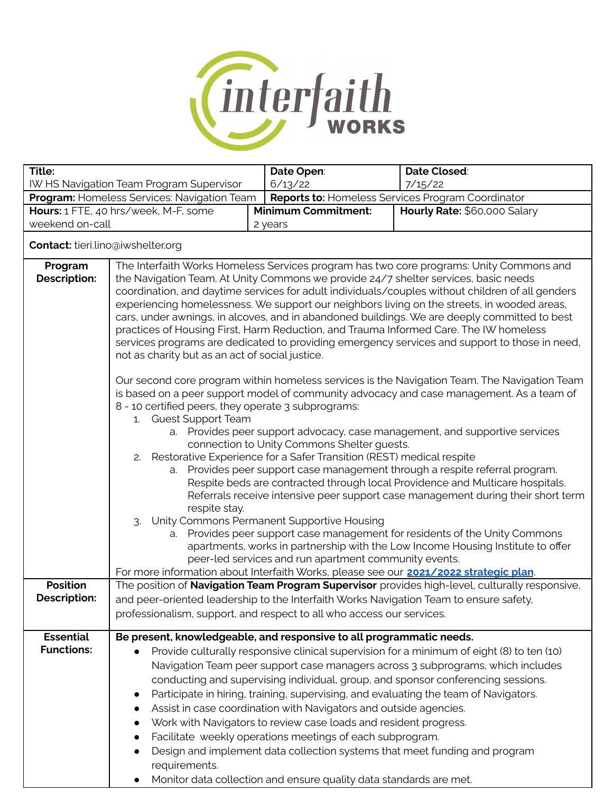

| Title:                                                                                                                                                             |                                                                                                                                                                                                                                                                                                                                                                                                                                                                                                                                                                                                                                                                                                                                | Date Open:                                                                                                                                                                                                                                                                                                                                             | Date Closed:                                                                                                                                                                                                                                                                                                                                                                                                                                                                                                                                                                                                                                                                                |  |
|--------------------------------------------------------------------------------------------------------------------------------------------------------------------|--------------------------------------------------------------------------------------------------------------------------------------------------------------------------------------------------------------------------------------------------------------------------------------------------------------------------------------------------------------------------------------------------------------------------------------------------------------------------------------------------------------------------------------------------------------------------------------------------------------------------------------------------------------------------------------------------------------------------------|--------------------------------------------------------------------------------------------------------------------------------------------------------------------------------------------------------------------------------------------------------------------------------------------------------------------------------------------------------|---------------------------------------------------------------------------------------------------------------------------------------------------------------------------------------------------------------------------------------------------------------------------------------------------------------------------------------------------------------------------------------------------------------------------------------------------------------------------------------------------------------------------------------------------------------------------------------------------------------------------------------------------------------------------------------------|--|
| IW HS Navigation Team Program Supervisor<br>6/13/22<br>7/15/22<br>Program: Homeless Services: Navigation Team<br>Reports to: Homeless Services Program Coordinator |                                                                                                                                                                                                                                                                                                                                                                                                                                                                                                                                                                                                                                                                                                                                |                                                                                                                                                                                                                                                                                                                                                        |                                                                                                                                                                                                                                                                                                                                                                                                                                                                                                                                                                                                                                                                                             |  |
| Hours: 1 FTE, 40 hrs/week, M-F, some<br><b>Minimum Commitment:</b>                                                                                                 |                                                                                                                                                                                                                                                                                                                                                                                                                                                                                                                                                                                                                                                                                                                                |                                                                                                                                                                                                                                                                                                                                                        | Hourly Rate: \$60,000 Salary                                                                                                                                                                                                                                                                                                                                                                                                                                                                                                                                                                                                                                                                |  |
| weekend on-call                                                                                                                                                    |                                                                                                                                                                                                                                                                                                                                                                                                                                                                                                                                                                                                                                                                                                                                | 2 years                                                                                                                                                                                                                                                                                                                                                |                                                                                                                                                                                                                                                                                                                                                                                                                                                                                                                                                                                                                                                                                             |  |
| <b>Contact:</b> tieri.lino@iwshelter.org                                                                                                                           |                                                                                                                                                                                                                                                                                                                                                                                                                                                                                                                                                                                                                                                                                                                                |                                                                                                                                                                                                                                                                                                                                                        |                                                                                                                                                                                                                                                                                                                                                                                                                                                                                                                                                                                                                                                                                             |  |
| Program<br><b>Description:</b>                                                                                                                                     | The Interfaith Works Homeless Services program has two core programs: Unity Commons and<br>the Navigation Team. At Unity Commons we provide 24/7 shelter services, basic needs<br>coordination, and daytime services for adult individuals/couples without children of all genders<br>experiencing homelessness. We support our neighbors living on the streets, in wooded areas,<br>cars, under awnings, in alcoves, and in abandoned buildings. We are deeply committed to best<br>practices of Housing First, Harm Reduction, and Trauma Informed Care. The IW homeless<br>services programs are dedicated to providing emergency services and support to those in need,<br>not as charity but as an act of social justice. |                                                                                                                                                                                                                                                                                                                                                        |                                                                                                                                                                                                                                                                                                                                                                                                                                                                                                                                                                                                                                                                                             |  |
|                                                                                                                                                                    | 8 - 10 certified peers, they operate 3 subprograms:<br>1. Guest Support Team<br>2.<br>respite stay.<br>a.                                                                                                                                                                                                                                                                                                                                                                                                                                                                                                                                                                                                                      | connection to Unity Commons Shelter guests.<br>Restorative Experience for a Safer Transition (REST) medical respite<br>3. Unity Commons Permanent Supportive Housing<br>peer-led services and run apartment community events.                                                                                                                          | Our second core program within homeless services is the Navigation Team. The Navigation Team<br>is based on a peer support model of community advocacy and case management. As a team of<br>a. Provides peer support advocacy, case management, and supportive services<br>a. Provides peer support case management through a respite referral program.<br>Respite beds are contracted through local Providence and Multicare hospitals.<br>Referrals receive intensive peer support case management during their short term<br>Provides peer support case management for residents of the Unity Commons<br>apartments, works in partnership with the Low Income Housing Institute to offer |  |
| <b>Position</b>                                                                                                                                                    |                                                                                                                                                                                                                                                                                                                                                                                                                                                                                                                                                                                                                                                                                                                                | For more information about Interfaith Works, please see our <b>2021/2022 strategic plan</b> .                                                                                                                                                                                                                                                          | The position of Navigation Team Program Supervisor provides high-level, culturally responsive,                                                                                                                                                                                                                                                                                                                                                                                                                                                                                                                                                                                              |  |
| <b>Description:</b>                                                                                                                                                |                                                                                                                                                                                                                                                                                                                                                                                                                                                                                                                                                                                                                                                                                                                                | and peer-oriented leadership to the Interfaith Works Navigation Team to ensure safety,<br>professionalism, support, and respect to all who access our services.                                                                                                                                                                                        |                                                                                                                                                                                                                                                                                                                                                                                                                                                                                                                                                                                                                                                                                             |  |
| <b>Essential</b>                                                                                                                                                   |                                                                                                                                                                                                                                                                                                                                                                                                                                                                                                                                                                                                                                                                                                                                | Be present, knowledgeable, and responsive to all programmatic needs.                                                                                                                                                                                                                                                                                   |                                                                                                                                                                                                                                                                                                                                                                                                                                                                                                                                                                                                                                                                                             |  |
| <b>Functions:</b>                                                                                                                                                  | requirements.                                                                                                                                                                                                                                                                                                                                                                                                                                                                                                                                                                                                                                                                                                                  | Assist in case coordination with Navigators and outside agencies.<br>Work with Navigators to review case loads and resident progress.<br>Facilitate weekly operations meetings of each subprogram.<br>Design and implement data collection systems that meet funding and program<br>Monitor data collection and ensure quality data standards are met. | Provide culturally responsive clinical supervision for a minimum of eight (8) to ten (10)<br>Navigation Team peer support case managers across 3 subprograms, which includes<br>conducting and supervising individual, group, and sponsor conferencing sessions.<br>Participate in hiring, training, supervising, and evaluating the team of Navigators.                                                                                                                                                                                                                                                                                                                                    |  |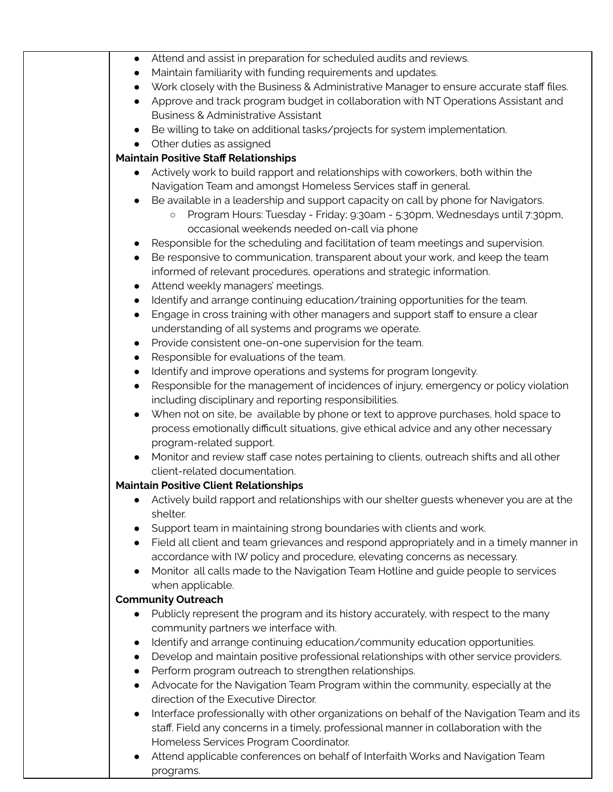| Field all client and team grievances and respond appropriately and in a timely manner in   |
|--------------------------------------------------------------------------------------------|
|                                                                                            |
|                                                                                            |
|                                                                                            |
|                                                                                            |
|                                                                                            |
|                                                                                            |
|                                                                                            |
|                                                                                            |
|                                                                                            |
|                                                                                            |
|                                                                                            |
| Interface professionally with other organizations on behalf of the Navigation Team and its |
|                                                                                            |
|                                                                                            |
|                                                                                            |

● Attend applicable conferences on behalf of Interfaith Works and Navigation Team programs.